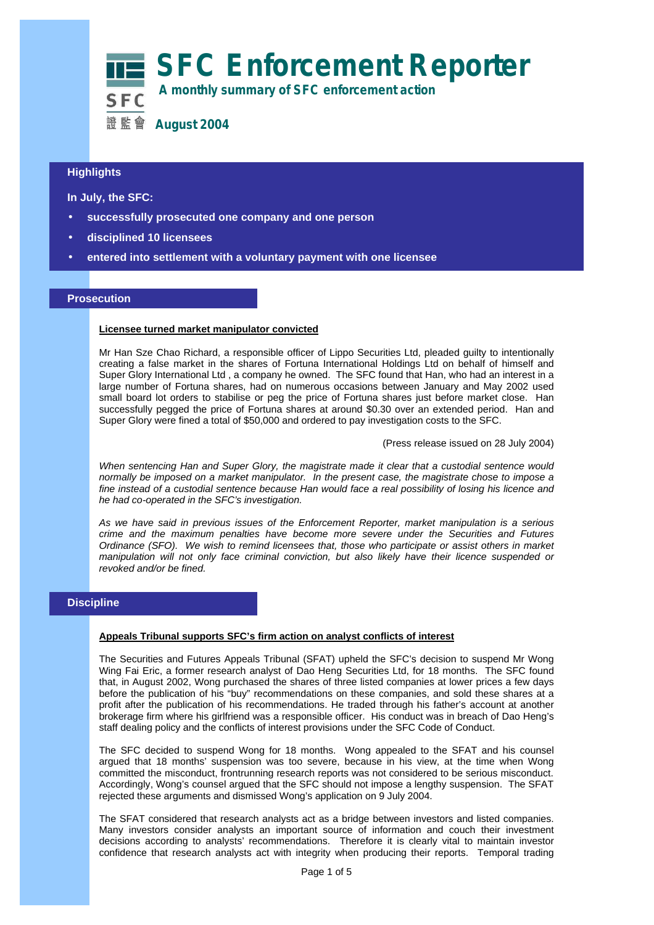

## **Highlights**

**In July, the SFC:**

- **successfully prosecuted one company and one person**
- **disciplined 10 licensees**
- **entered into settlement with a voluntary payment with one licensee**

## **Prosecution**

#### **Licensee turned market manipulator convicted**

Mr Han Sze Chao Richard, a responsible officer of Lippo Securities Ltd, pleaded guilty to intentionally creating a false market in the shares of Fortuna International Holdings Ltd on behalf of himself and Super Glory International Ltd , a company he owned. The SFC found that Han, who had an interest in a large number of Fortuna shares, had on numerous occasions between January and May 2002 used small board lot orders to stabilise or peg the price of Fortuna shares just before market close. Han successfully pegged the price of Fortuna shares at around \$0.30 over an extended period. Han and Super Glory were fined a total of \$50,000 and ordered to pay investigation costs to the SFC.

(Press release issued on 28 July 2004)

*When sentencing Han and Super Glory, the magistrate made it clear that a custodial sentence would normally be imposed on a market manipulator. In the present case, the magistrate chose to impose a fine instead of a custodial sentence because Han would face a real possibility of losing his licence and he had co-operated in the SFC's investigation.*

*As we have said in previous issues of the Enforcement Reporter, market manipulation is a serious crime and the maximum penalties have become more severe under the Securities and Futures Ordinance (SFO). We wish to remind licensees that, those who participate or assist others in market manipulation will not only face criminal conviction, but also likely have their licence suspended or revoked and/or be fined.* 

## **Discipline**

#### **Appeals Tribunal supports SFC's firm action on analyst conflicts of interest**

The Securities and Futures Appeals Tribunal (SFAT) upheld the SFC's decision to suspend Mr Wong Wing Fai Eric, a former research analyst of Dao Heng Securities Ltd, for 18 months. The SFC found that, in August 2002, Wong purchased the shares of three listed companies at lower prices a few days before the publication of his "buy" recommendations on these companies, and sold these shares at a profit after the publication of his recommendations. He traded through his father's account at another brokerage firm where his girlfriend was a responsible officer. His conduct was in breach of Dao Heng's staff dealing policy and the conflicts of interest provisions under the SFC Code of Conduct.

The SFC decided to suspend Wong for 18 months. Wong appealed to the SFAT and his counsel argued that 18 months' suspension was too severe, because in his view, at the time when Wong committed the misconduct, frontrunning research reports was not considered to be serious misconduct. Accordingly, Wong's counsel argued that the SFC should not impose a lengthy suspension. The SFAT rejected these arguments and dismissed Wong's application on 9 July 2004.

The SFAT considered that research analysts act as a bridge between investors and listed companies. Many investors consider analysts an important source of information and couch their investment decisions according to analysts' recommendations. Therefore it is clearly vital to maintain investor confidence that research analysts act with integrity when producing their reports. Temporal trading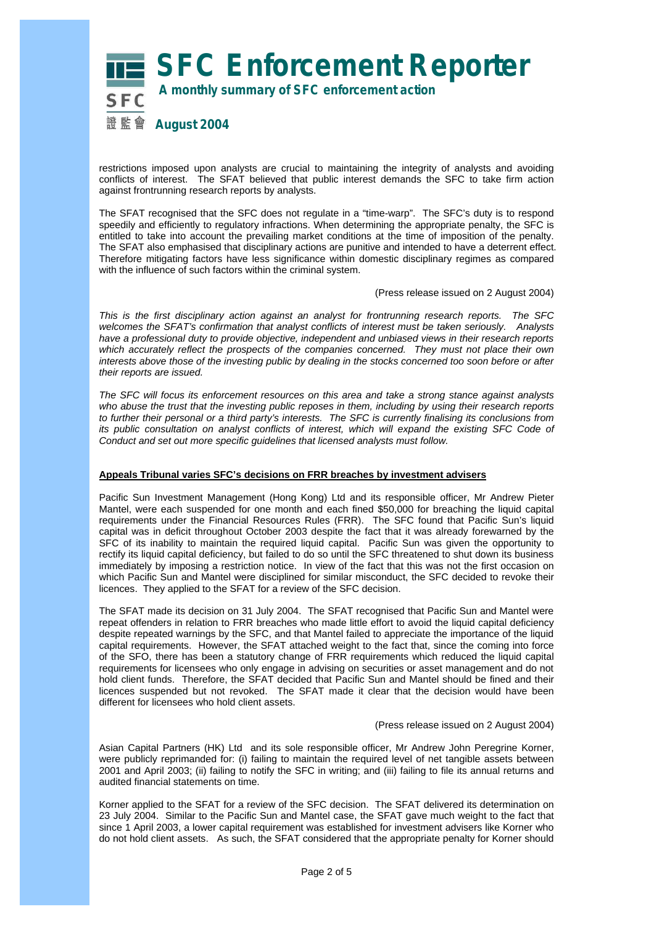## **SFC Enforcement Reporter A monthly summary of SFC enforcement action** 證 監 曾 **August 2004**

restrictions imposed upon analysts are crucial to maintaining the integrity of analysts and avoiding conflicts of interest. The SFAT believed that public interest demands the SFC to take firm action against frontrunning research reports by analysts.

The SFAT recognised that the SFC does not regulate in a "time-warp". The SFC's duty is to respond speedily and efficiently to regulatory infractions. When determining the appropriate penalty, the SFC is entitled to take into account the prevailing market conditions at the time of imposition of the penalty. The SFAT also emphasised that disciplinary actions are punitive and intended to have a deterrent effect. Therefore mitigating factors have less significance within domestic disciplinary regimes as compared with the influence of such factors within the criminal system.

(Press release issued on 2 August 2004)

*This is the first disciplinary action against an analyst for frontrunning research reports. The SFC welcomes the SFAT's confirmation that analyst conflicts of interest must be taken seriously. Analysts have a professional duty to provide objective, independent and unbiased views in their research reports which accurately reflect the prospects of the companies concerned. They must not place their own interests above those of the investing public by dealing in the stocks concerned too soon before or after their reports are issued.* 

*The SFC will focus its enforcement resources on this area and take a strong stance against analysts who abuse the trust that the investing public reposes in them, including by using their research reports to further their personal or a third party's interests. The SFC is currently finalising its conclusions from its public consultation on analyst conflicts of interest, which will expand the existing SFC Code of Conduct and set out more specific guidelines that licensed analysts must follow.* 

## **Appeals Tribunal varies SFC's decisions on FRR breaches by investment advisers**

Pacific Sun Investment Management (Hong Kong) Ltd and its responsible officer, Mr Andrew Pieter Mantel, were each suspended for one month and each fined \$50,000 for breaching the liquid capital requirements under the Financial Resources Rules (FRR). The SFC found that Pacific Sun's liquid capital was in deficit throughout October 2003 despite the fact that it was already forewarned by the SFC of its inability to maintain the required liquid capital. Pacific Sun was given the opportunity to rectify its liquid capital deficiency, but failed to do so until the SFC threatened to shut down its business immediately by imposing a restriction notice. In view of the fact that this was not the first occasion on which Pacific Sun and Mantel were disciplined for similar misconduct, the SFC decided to revoke their licences. They applied to the SFAT for a review of the SFC decision.

The SFAT made its decision on 31 July 2004. The SFAT recognised that Pacific Sun and Mantel were repeat offenders in relation to FRR breaches who made little effort to avoid the liquid capital deficiency despite repeated warnings by the SFC, and that Mantel failed to appreciate the importance of the liquid capital requirements. However, the SFAT attached weight to the fact that, since the coming into force of the SFO, there has been a statutory change of FRR requirements which reduced the liquid capital requirements for licensees who only engage in advising on securities or asset management and do not hold client funds. Therefore, the SFAT decided that Pacific Sun and Mantel should be fined and their licences suspended but not revoked. The SFAT made it clear that the decision would have been different for licensees who hold client assets.

#### (Press release issued on 2 August 2004)

Asian Capital Partners (HK) Ltd and its sole responsible officer, Mr Andrew John Peregrine Korner, were publicly reprimanded for: (i) failing to maintain the required level of net tangible assets between 2001 and April 2003; (ii) failing to notify the SFC in writing; and (iii) failing to file its annual returns and audited financial statements on time.

Korner applied to the SFAT for a review of the SFC decision. The SFAT delivered its determination on 23 July 2004. Similar to the Pacific Sun and Mantel case, the SFAT gave much weight to the fact that since 1 April 2003, a lower capital requirement was established for investment advisers like Korner who do not hold client assets. As such, the SFAT considered that the appropriate penalty for Korner should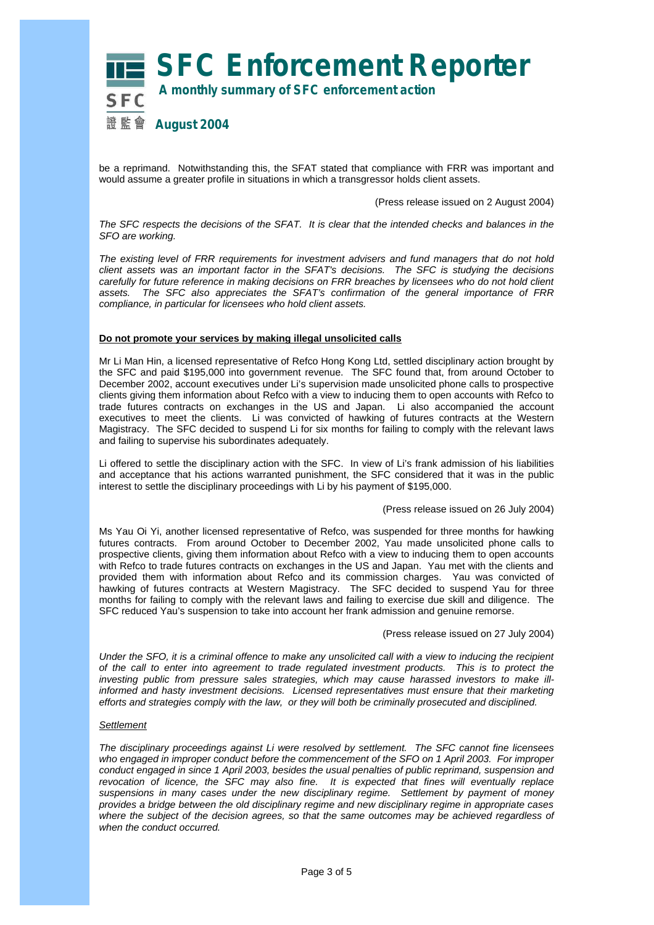

be a reprimand. Notwithstanding this, the SFAT stated that compliance with FRR was important and would assume a greater profile in situations in which a transgressor holds client assets.

(Press release issued on 2 August 2004)

*The SFC respects the decisions of the SFAT. It is clear that the intended checks and balances in the SFO are working.* 

*The existing level of FRR requirements for investment advisers and fund managers that do not hold client assets was an important factor in the SFAT's decisions. The SFC is studying the decisions carefully for future reference in making decisions on FRR breaches by licensees who do not hold client assets. The SFC also appreciates the SFAT's confirmation of the general importance of FRR compliance, in particular for licensees who hold client assets.* 

#### **Do not promote your services by making illegal unsolicited calls**

Mr Li Man Hin, a licensed representative of Refco Hong Kong Ltd, settled disciplinary action brought by the SFC and paid \$195,000 into government revenue. The SFC found that, from around October to December 2002, account executives under Li's supervision made unsolicited phone calls to prospective clients giving them information about Refco with a view to inducing them to open accounts with Refco to trade futures contracts on exchanges in the US and Japan. Li also accompanied the account executives to meet the clients. Li was convicted of hawking of futures contracts at the Western Magistracy. The SFC decided to suspend Li for six months for failing to comply with the relevant laws and failing to supervise his subordinates adequately.

Li offered to settle the disciplinary action with the SFC. In view of Li's frank admission of his liabilities and acceptance that his actions warranted punishment, the SFC considered that it was in the public interest to settle the disciplinary proceedings with Li by his payment of \$195,000.

#### (Press release issued on 26 July 2004)

Ms Yau Oi Yi, another licensed representative of Refco, was suspended for three months for hawking futures contracts. From around October to December 2002, Yau made unsolicited phone calls to prospective clients, giving them information about Refco with a view to inducing them to open accounts with Refco to trade futures contracts on exchanges in the US and Japan. Yau met with the clients and provided them with information about Refco and its commission charges. Yau was convicted of hawking of futures contracts at Western Magistracy. The SFC decided to suspend Yau for three months for failing to comply with the relevant laws and failing to exercise due skill and diligence. The SFC reduced Yau's suspension to take into account her frank admission and genuine remorse.

(Press release issued on 27 July 2004)

*Under the SFO, it is a criminal offence to make any unsolicited call with a view to inducing the recipient of the call to enter into agreement to trade regulated investment products. This is to protect the investing public from pressure sales strategies, which may cause harassed investors to make illinformed and hasty investment decisions. Licensed representatives must ensure that their marketing efforts and strategies comply with the law, or they will both be criminally prosecuted and disciplined.* 

#### *Settlement*

*The disciplinary proceedings against Li were resolved by settlement. The SFC cannot fine licensees who engaged in improper conduct before the commencement of the SFO on 1 April 2003. For improper conduct engaged in since 1 April 2003, besides the usual penalties of public reprimand, suspension and revocation of licence, the SFC may also fine. It is expected that fines will eventually replace suspensions in many cases under the new disciplinary regime. Settlement by payment of money provides a bridge between the old disciplinary regime and new disciplinary regime in appropriate cases where the subject of the decision agrees, so that the same outcomes may be achieved regardless of when the conduct occurred.*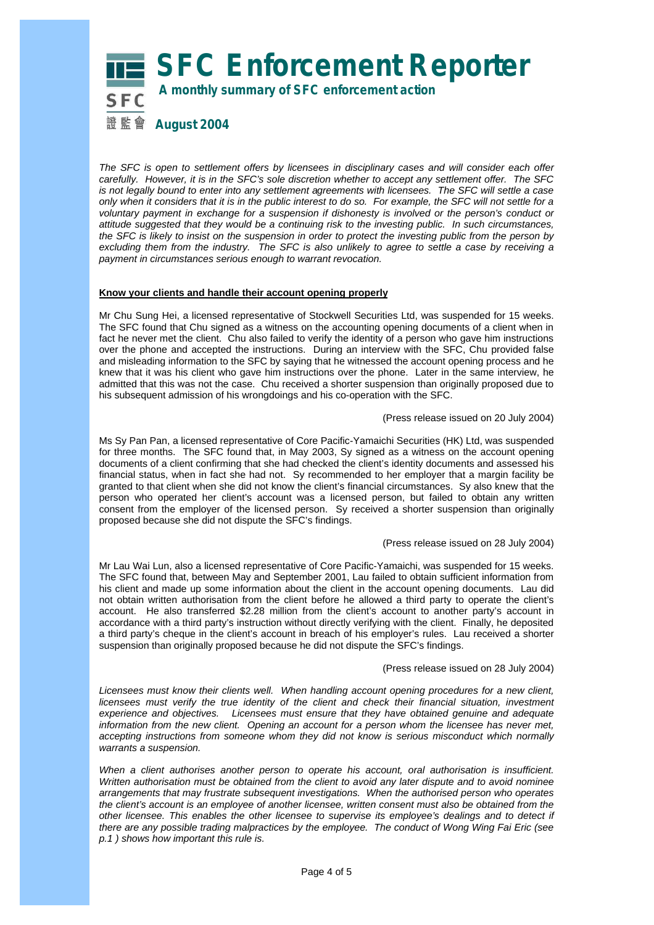# **SFC Enforcement Reporter**

 **A monthly summary of SFC enforcement action**

證 監 曾 **August 2004** 

*The SFC is open to settlement offers by licensees in disciplinary cases and will consider each offer carefully. However, it is in the SFC's sole discretion whether to accept any settlement offer. The SFC is not legally bound to enter into any settlement agreements with licensees. The SFC will settle a case only when it considers that it is in the public interest to do so. For example, the SFC will not settle for a voluntary payment in exchange for a suspension if dishonesty is involved or the person's conduct or attitude suggested that they would be a continuing risk to the investing public. In such circumstances, the SFC is likely to insist on the suspension in order to protect the investing public from the person by excluding them from the industry. The SFC is also unlikely to agree to settle a case by receiving a payment in circumstances serious enough to warrant revocation.* 

#### **Know your clients and handle their account opening properly**

Mr Chu Sung Hei, a licensed representative of Stockwell Securities Ltd, was suspended for 15 weeks. The SFC found that Chu signed as a witness on the accounting opening documents of a client when in fact he never met the client. Chu also failed to verify the identity of a person who gave him instructions over the phone and accepted the instructions. During an interview with the SFC, Chu provided false and misleading information to the SFC by saying that he witnessed the account opening process and he knew that it was his client who gave him instructions over the phone. Later in the same interview, he admitted that this was not the case. Chu received a shorter suspension than originally proposed due to his subsequent admission of his wrongdoings and his co-operation with the SFC.

(Press release issued on 20 July 2004)

Ms Sy Pan Pan, a licensed representative of Core Pacific-Yamaichi Securities (HK) Ltd, was suspended for three months. The SFC found that, in May 2003, Sy signed as a witness on the account opening documents of a client confirming that she had checked the client's identity documents and assessed his financial status, when in fact she had not. Sy recommended to her employer that a margin facility be granted to that client when she did not know the client's financial circumstances. Sy also knew that the person who operated her client's account was a licensed person, but failed to obtain any written consent from the employer of the licensed person. Sy received a shorter suspension than originally proposed because she did not dispute the SFC's findings.

#### (Press release issued on 28 July 2004)

Mr Lau Wai Lun, also a licensed representative of Core Pacific-Yamaichi, was suspended for 15 weeks. The SFC found that, between May and September 2001, Lau failed to obtain sufficient information from his client and made up some information about the client in the account opening documents. Lau did not obtain written authorisation from the client before he allowed a third party to operate the client's account. He also transferred \$2.28 million from the client's account to another party's account in accordance with a third party's instruction without directly verifying with the client. Finally, he deposited a third party's cheque in the client's account in breach of his employer's rules. Lau received a shorter suspension than originally proposed because he did not dispute the SFC's findings.

#### (Press release issued on 28 July 2004)

*Licensees must know their clients well. When handling account opening procedures for a new client, licensees must verify the true identity of the client and check their financial situation, investment experience and objectives. Licensees must ensure that they have obtained genuine and adequate information from the new client. Opening an account for a person whom the licensee has never met, accepting instructions from someone whom they did not know is serious misconduct which normally warrants a suspension.*

*When a client authorises another person to operate his account, oral authorisation is insufficient. Written authorisation must be obtained from the client to avoid any later dispute and to avoid nominee arrangements that may frustrate subsequent investigations. When the authorised person who operates the client's account is an employee of another licensee, written consent must also be obtained from the other licensee. This enables the other licensee to supervise its employee's dealings and to detect if there are any possible trading malpractices by the employee. The conduct of Wong Wing Fai Eric (see p.1 ) shows how important this rule is.*